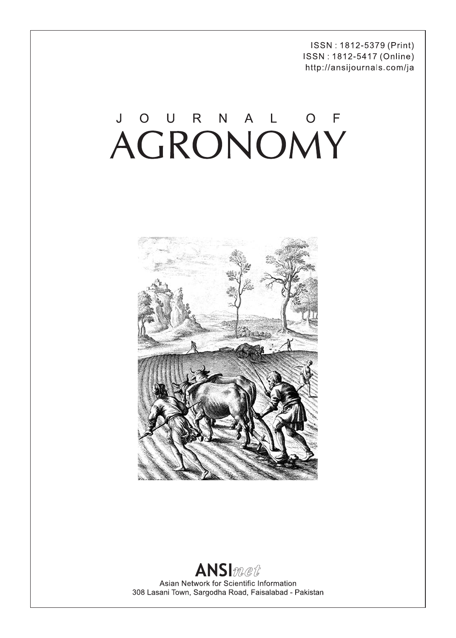ISSN: 1812-5379 (Print) ISSN: 1812-5417 (Online) http://ansijournals.com/ja

# JOURNAL OF



### **ANSI**met Asian Network for Scientific Information 308 Lasani Town, Sargodha Road, Faisalabad - Pakistan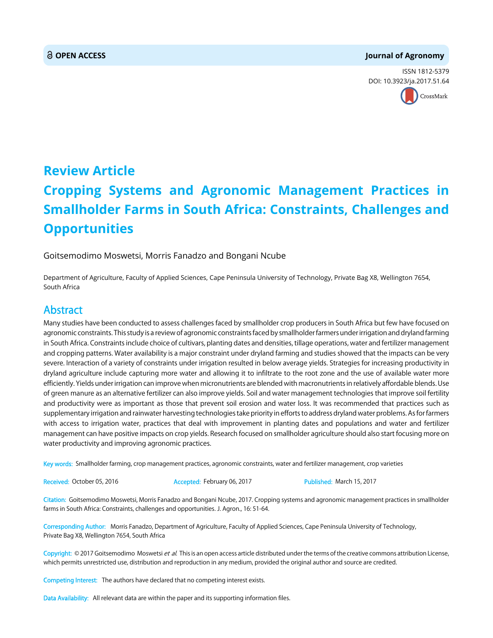#### **OPEN ACCESS Journal of Agronomy**

ISSN 1812-5379 DOI: 10.[3923/ja.2017.51.64](http://crossmark.crossref.org/dialog/?doi=10.3923/ja.2017.51.64&domain=pdf&date_stamp=2017-03-15)



## **Review Article Cropping Systems and Agronomic Management Practices in Smallholder Farms in South Africa: Constraints, Challenges and Opportunities**

Goitsemodimo Moswetsi, Morris Fanadzo and Bongani Ncube

Department of Agriculture, Faculty of Applied Sciences, Cape Peninsula University of Technology, Private Bag X8, Wellington 7654, South Africa

#### Abstract

Many studies have been conducted to assess challenges faced by smallholder crop producers in South Africa but few have focused on agronomic constraints. This study is a review of agronomic constraints faced by smallholder farmers under irrigation and dryland farming in South Africa. Constraints include choice of cultivars, planting dates and densities, tillage operations, water and fertilizer management and cropping patterns. Water availability is a major constraint under dryland farming and studies showed that the impacts can be very severe. Interaction of a variety of constraints under irrigation resulted in below average yields. Strategies for increasing productivity in dryland agriculture include capturing more water and allowing it to infiltrate to the root zone and the use of available water more efficiently. Yields under irrigation can improve when micronutrients are blended with macronutrients in relatively affordable blends. Use of green manure as an alternative fertilizer can also improve yields. Soil and water management technologies that improve soil fertility and productivity were as important as those that prevent soil erosion and water loss. It was recommended that practices such as supplementary irrigation and rainwater harvesting technologies take priority in efforts to address dryland water problems. As for farmers with access to irrigation water, practices that deal with improvement in planting dates and populations and water and fertilizer management can have positive impacts on crop yields. Research focused on smallholder agriculture should also start focusing more on water productivity and improving agronomic practices.

Key words: Smallholder farming, crop management practices, agronomic constraints, water and fertilizer management, crop varieties

Received: October 05, 2016 **Accepted: February 06, 2017** Published: March 15, 2017

Citation: Goitsemodimo Moswetsi, Morris Fanadzo and Bongani Ncube, 2017. Cropping systems and agronomic management practices in smallholder farms in South Africa: Constraints, challenges and opportunities. J. Agron., 16: 51-64.

Corresponding Author: Morris Fanadzo, Department of Agriculture, Faculty of Applied Sciences, Cape Peninsula University of Technology, Private Bag X8, Wellington 7654, South Africa

Copyright: © 2017 Goitsemodimo Moswetsi et al. This is an open access article distributed under the terms of the creative commons attribution License, which permits unrestricted use, distribution and reproduction in any medium, provided the original author and source are credited.

Competing Interest: The authors have declared that no competing interest exists.

Data Availability: All relevant data are within the paper and its supporting information files.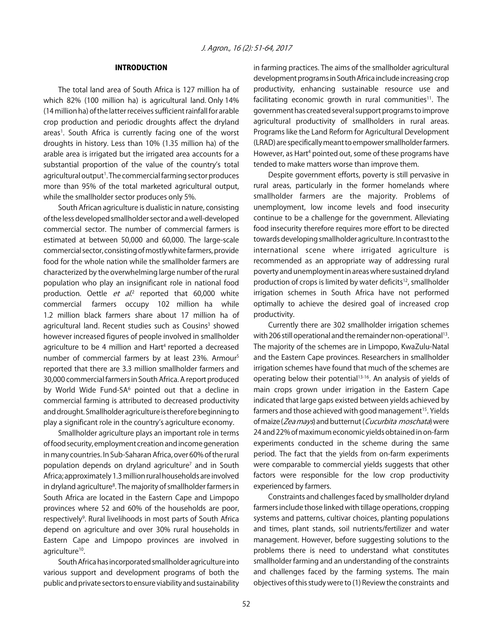#### INTRODUCTION

The total land area of South Africa is 127 million ha of which 82% (100 million ha) is agricultural land. Only 14% (14 million ha) of the latter receives sufficient rainfall for arable crop production and periodic droughts affect the dryland areas<sup>1</sup>. South Africa is currently facing one of the worst droughts in history. Less than 10% (1.35 million ha) of the arable area is irrigated but the irrigated area accounts for a substantial proportion of the value of the country's total agricultural output<sup>1</sup>. The commercial farming sector produces more than 95% of the total marketed agricultural output, while the smallholder sector produces only 5%.

South African agriculture is dualistic in nature, consisting of the less developed smallholder sector and a well-developed commercial sector. The number of commercial farmers is estimated at between 50,000 and 60,000. The large-scale commercial sector, consisting of mostly white farmers, provide food for the whole nation while the smallholder farmers are characterized by the overwhelming large number of the rural population who play an insignificant role in national food production. Oettle et al.<sup>2</sup> reported that 60,000 white commercial farmers occupy 102 million ha while 1.2 million black farmers share about 17 million ha of agricultural land. Recent studies such as Cousins<sup>3</sup> showed however increased figures of people involved in smallholder agriculture to be 4 million and Hart<sup>4</sup> reported a decreased number of commercial farmers by at least 23%. Armour5 reported that there are 3.3 million smallholder farmers and 30,000 commercial farmers in South Africa. A report produced by World Wide Fund-SA<sup>6</sup> pointed out that a decline in commercial farming is attributed to decreased productivity and drought. Smallholder agriculture is therefore beginning to play a significant role in the country's agriculture economy.

Smallholder agriculture plays an important role in terms of food security, employment creation and income generation in many countries. In Sub-Saharan Africa, over 60% of the rural population depends on dryland agriculture<sup>7</sup> and in South Africa; approximately 1.3 million rural households are involved in dryland agriculture<sup>8</sup>. The majority of smallholder farmers in South Africa are located in the Eastern Cape and Limpopo provinces where 52 and 60% of the households are poor, respectively<sup>9</sup>. Rural livelihoods in most parts of South Africa depend on agriculture and over 30% rural households in Eastern Cape and Limpopo provinces are involved in agriculture<sup>10</sup>.

South Africa has incorporated smallholder agriculture into various support and development programs of both the public and private sectors to ensure viability and sustainability in farming practices. The aims of the smallholder agricultural development programs in South Africa include increasing crop productivity, enhancing sustainable resource use and facilitating economic growth in rural communities<sup>11</sup>. The government has created several support programs to improve agricultural productivity of smallholders in rural areas. Programs like the Land Reform for Agricultural Development (LRAD) are specifically meant to empower smallholder farmers. However, as Hart<sup>4</sup> pointed out, some of these programs have tended to make matters worse than improve them.

Despite government efforts, poverty is still pervasive in rural areas, particularly in the former homelands where smallholder farmers are the majority. Problems of unemployment, low income levels and food insecurity continue to be a challenge for the government. Alleviating food insecurity therefore requires more effort to be directed towards developing smallholder agriculture. In contrast to the international scene where irrigated agriculture is recommended as an appropriate way of addressing rural poverty and unemployment in areas where sustained dryland production of crops is limited by water deficits<sup>12</sup>, smallholder irrigation schemes in South Africa have not performed optimally to achieve the desired goal of increased crop productivity.

Currently there are 302 smallholder irrigation schemes with 206 still operational and the remainder non-operational<sup>13</sup>. The majority of the schemes are in Limpopo, KwaZulu-Natal and the Eastern Cape provinces. Researchers in smallholder irrigation schemes have found that much of the schemes are operating below their potential<sup>13-16</sup>. An analysis of yields of main crops grown under irrigation in the Eastern Cape indicated that large gaps existed between yields achieved by farmers and those achieved with good management<sup>15</sup>. Yields of maize (Zea mays) and butternut (Cucurbita moschata) were 24 and 22% of maximum economic yields obtained in on-farm experiments conducted in the scheme during the same period. The fact that the yields from on-farm experiments were comparable to commercial yields suggests that other factors were responsible for the low crop productivity experienced by farmers.

Constraints and challenges faced by smallholder dryland farmers include those linked with tillage operations, cropping systems and patterns, cultivar choices, planting populations and times, plant stands, soil nutrients/fertilizer and water management. However, before suggesting solutions to the problems there is need to understand what constitutes smallholder farming and an understanding of the constraints and challenges faced by the farming systems. The main objectives of this study were to (1) Review the constraints and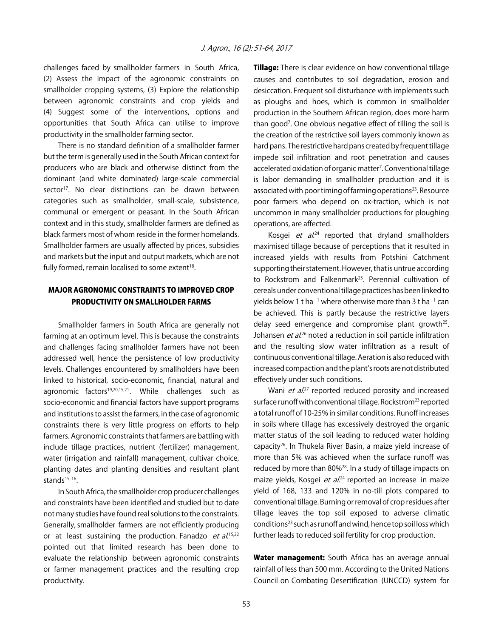challenges faced by smallholder farmers in South Africa, (2) Assess the impact of the agronomic constraints on smallholder cropping systems, (3) Explore the relationship between agronomic constraints and crop yields and (4) Suggest some of the interventions, options and opportunities that South Africa can utilise to improve productivity in the smallholder farming sector.

There is no standard definition of a smallholder farmer but the term is generally used in the South African context for producers who are black and otherwise distinct from the dominant (and white dominated) large-scale commercial sector<sup>17</sup>. No clear distinctions can be drawn between categories such as smallholder, small-scale, subsistence, communal or emergent or peasant. In the South African context and in this study, smallholder farmers are defined as black farmers most of whom reside in the former homelands. Smallholder farmers are usually affected by prices, subsidies and markets but the input and output markets, which are not fully formed, remain localised to some extent<sup>18</sup>.

#### MAJOR AGRONOMIC CONSTRAINTS TO IMPROVED CROP PRODUCTIVITY ON SMALLHOLDER FARMS

Smallholder farmers in South Africa are generally not farming at an optimum level. This is because the constraints and challenges facing smallholder farmers have not been addressed well, hence the persistence of low productivity levels. Challenges encountered by smallholders have been linked to historical, socio-economic, financial, natural and agronomic factors<sup>19,20,15,21</sup>. While challenges such as socio-economic and financial factors have support programs and institutions to assist the farmers, in the case of agronomic constraints there is very little progress on efforts to help farmers. Agronomic constraints that farmers are battling with include tillage practices, nutrient (fertilizer) management, water (irrigation and rainfall) management, cultivar choice, planting dates and planting densities and resultant plant stands $15, 16$ .

In South Africa, the smallholder crop producer challenges and constraints have been identified and studied but to date not many studies have found real solutions to the constraints. Generally, smallholder farmers are not efficiently producing or at least sustaining the production. Fanadzo et al.<sup>15,22</sup> pointed out that limited research has been done to evaluate the relationship between agronomic constraints or farmer management practices and the resulting crop productivity.

**Tillage:** There is clear evidence on how conventional tillage causes and contributes to soil degradation, erosion and desiccation. Frequent soil disturbance with implements such as ploughs and hoes, which is common in smallholder production in the Southern African region, does more harm than good<sup>7</sup>. One obvious negative effect of tilling the soil is the creation of the restrictive soil layers commonly known as hard pans. The restrictive hard pans created by frequent tillage impede soil infiltration and root penetration and causes accelerated oxidation of organic matter<sup>7</sup>. Conventional tillage is labor demanding in smallholder production and it is associated with poor timing of farming operations<sup>23</sup>. Resource poor farmers who depend on ox-traction, which is not uncommon in many smallholder productions for ploughing operations, are affected.

Kosgei et al.<sup>24</sup> reported that dryland smallholders maximised tillage because of perceptions that it resulted in increased yields with results from Potshini Catchment supporting their statement. However, that is untrue according to Rockstrom and Falkenmark<sup>25</sup>. Perennial cultivation of cereals under conventional tillage practices has been linked to yields below 1 t ha $^{-1}$  where otherwise more than 3 t ha $^{-1}$  can be achieved. This is partly because the restrictive layers delay seed emergence and compromise plant growth<sup>25</sup>. Johansen *et al.*<sup>26</sup> noted a reduction in soil particle infiltration and the resulting slow water infiltration as a result of continuous conventional tillage. Aeration is also reduced with increased compaction and the plant's roots are not distributed effectively under such conditions.

Wani et al.<sup>27</sup> reported reduced porosity and increased surface runoff with conventional tillage. Rockstrom<sup>23</sup> reported a total runoff of 10-25% in similar conditions. Runoff increases in soils where tillage has excessively destroyed the organic matter status of the soil leading to reduced water holding capacity26. In Thukela River Basin, a maize yield increase of more than 5% was achieved when the surface runoff was reduced by more than 80%<sup>28</sup>. In a study of tillage impacts on maize yields, Kosgei *et al.*<sup>24</sup> reported an increase in maize yield of 168, 133 and 120% in no-till plots compared to conventional tillage. Burning or removal of crop residues after tillage leaves the top soil exposed to adverse climatic conditions<sup>23</sup> such as runoff and wind, hence top soil loss which further leads to reduced soil fertility for crop production.

Water management: South Africa has an average annual rainfall of less than 500 mm. According to the United Nations Council on Combating Desertification (UNCCD) system for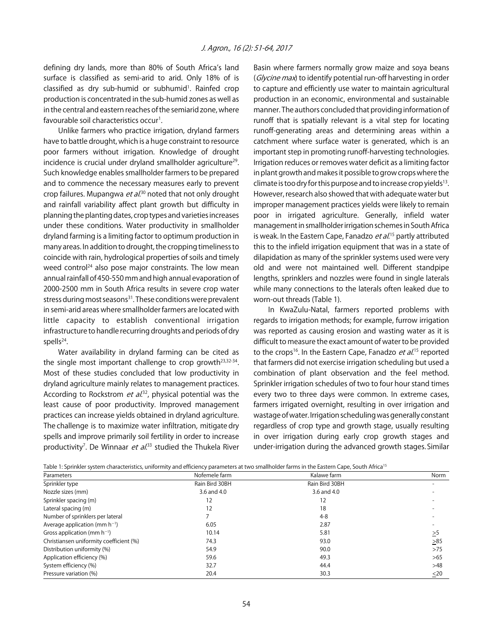defining dry lands, more than 80% of South Africa's land surface is classified as semi-arid to arid. Only 18% of is classified as dry sub-humid or subhumid<sup>1</sup>. Rainfed crop production is concentrated in the sub-humid zones as well as in the central and eastern reaches of the semiarid zone, where favourable soil characteristics occur<sup>1</sup>.

Unlike farmers who practice irrigation, dryland farmers have to battle drought, which is a huge constraint to resource poor farmers without irrigation. Knowledge of drought incidence is crucial under dryland smallholder agriculture<sup>29</sup>. Such knowledge enables smallholder farmers to be prepared and to commence the necessary measures early to prevent crop failures. Mupangwa *et al*.<sup>30</sup> noted that not only drought and rainfall variability affect plant growth but difficulty in planning the planting dates, crop types and varieties increases under these conditions. Water productivity in smallholder dryland farming is a limiting factor to optimum production in many areas. In addition to drought, the cropping timeliness to coincide with rain, hydrological properties of soils and timely weed control<sup>24</sup> also pose major constraints. The low mean annual rainfall of 450-550 mm and high annual evaporation of 2000-2500 mm in South Africa results in severe crop water stress during most seasons<sup>31</sup>. These conditions were prevalent in semi-arid areas where smallholder farmers are located with little capacity to establish conventional irrigation infrastructure to handle recurring droughts and periods of dry spells<sup>24</sup>.

Water availability in dryland farming can be cited as the single most important challenge to crop growth<sup>23,32-34</sup>. Most of these studies concluded that low productivity in dryland agriculture mainly relates to management practices. According to Rockstrom *et al*.<sup>32</sup>, physical potential was the least cause of poor productivity. Improved management practices can increase yields obtained in dryland agriculture. The challenge is to maximize water infiltration, mitigate dry spells and improve primarily soil fertility in order to increase productivity<sup>7</sup>. De Winnaar et al.<sup>33</sup> studied the Thukela River

Basin where farmers normally grow maize and soya beans (Glycine max) to identify potential run-off harvesting in order to capture and efficiently use water to maintain agricultural production in an economic, environmental and sustainable manner. The authors concluded that providing information of runoff that is spatially relevant is a vital step for locating runoff-generating areas and determining areas within a catchment where surface water is generated, which is an important step in promoting runoff-harvesting technologies. Irrigation reduces or removes water deficit as a limiting factor in plant growth and makes it possible to grow crops where the climate is too dry for this purpose and to increase crop yields<sup>13</sup>. However, research also showed that with adequate water but improper management practices yields were likely to remain poor in irrigated agriculture. Generally, infield water management in smallholder irrigation schemes in South Africa is weak. In the Eastern Cape, Fanadzo *et al*.<sup>15</sup> partly attributed this to the infield irrigation equipment that was in a state of dilapidation as many of the sprinkler systems used were very old and were not maintained well. Different standpipe lengths, sprinklers and nozzles were found in single laterals while many connections to the laterals often leaked due to worn-out threads (Table 1).

In KwaZulu-Natal, farmers reported problems with regards to irrigation methods; for example, furrow irrigation was reported as causing erosion and wasting water as it is difficult to measure the exact amount of water to be provided to the crops<sup>16</sup>. In the Eastern Cape, Fanadzo *et al*.<sup>15</sup> reported that farmers did not exercise irrigation scheduling but used a combination of plant observation and the feel method. Sprinkler irrigation schedules of two to four hour stand times every two to three days were common. In extreme cases, farmers irrigated overnight, resulting in over irrigation and wastage of water. Irrigation scheduling was generally constant regardless of crop type and growth stage, usually resulting in over irrigation during early crop growth stages and under-irrigation during the advanced growth stages. Similar

| Table 1: Sprinkler system characteristics, uniformity and efficiency parameters at two smallholder farms in the Eastern Cape, South Africa <sup>15</sup> |                |                |           |  |  |  |
|----------------------------------------------------------------------------------------------------------------------------------------------------------|----------------|----------------|-----------|--|--|--|
| Parameters                                                                                                                                               | Nofemele farm  | Kalawe farm    | Norm      |  |  |  |
| Sprinkler type                                                                                                                                           | Rain Bird 30BH | Rain Bird 30BH |           |  |  |  |
| Nozzle sizes (mm)                                                                                                                                        | 3.6 and 4.0    | 3.6 and 4.0    |           |  |  |  |
| Sprinkler spacing (m)                                                                                                                                    | 12             | 12             |           |  |  |  |
| Lateral spacing (m)                                                                                                                                      | 12             | 18             |           |  |  |  |
| Number of sprinklers per lateral                                                                                                                         |                | $4 - 8$        |           |  |  |  |
| Average application (mm $h^{-1}$ )                                                                                                                       | 6.05           | 2.87           |           |  |  |  |
| Gross application (mm $h^{-1}$ )                                                                                                                         | 10.14          | 5.81           | $\geq 5$  |  |  |  |
| Christiansen uniformity coefficient (%)                                                                                                                  | 74.3           | 93.0           | $\geq 85$ |  |  |  |
| Distribution uniformity (%)                                                                                                                              | 54.9           | 90.0           | >75       |  |  |  |
| Application efficiency (%)                                                                                                                               | 59.6           | 49.3           | >65       |  |  |  |
| System efficiency (%)                                                                                                                                    | 32.7           | 44.4           | >48       |  |  |  |
| Pressure variation (%)                                                                                                                                   | 20.4           | 30.3           | $<$ 20    |  |  |  |

Table 1: Sprinkler system characteristics, uniformity and efficiency parameters at two smallholder farms in the Eastern Cape, South Africa<sup>15</sup>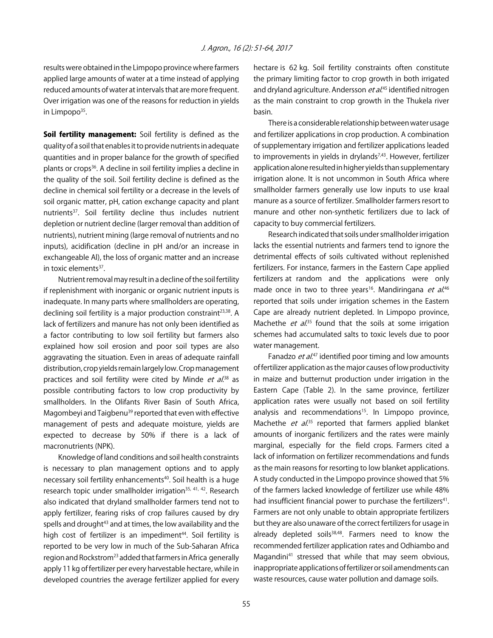results were obtained in the Limpopo province where farmers applied large amounts of water at a time instead of applying reduced amounts of water at intervals that are more frequent. Over irrigation was one of the reasons for reduction in yields in Limpopo<sup>35</sup>.

Soil fertility management: Soil fertility is defined as the quality of a soil that enables it to provide nutrients in adequate quantities and in proper balance for the growth of specified plants or crops<sup>36</sup>. A decline in soil fertility implies a decline in the quality of the soil. Soil fertility decline is defined as the decline in chemical soil fertility or a decrease in the levels of soil organic matter, pH, cation exchange capacity and plant nutrients<sup>37</sup>. Soil fertility decline thus includes nutrient depletion or nutrient decline (larger removal than addition of nutrients), nutrient mining (large removal of nutrients and no inputs), acidification (decline in pH and/or an increase in exchangeable Al), the loss of organic matter and an increase in toxic elements $37$ .

Nutrient removal may result in a decline of the soil fertility if replenishment with inorganic or organic nutrient inputs is inadequate. In many parts where smallholders are operating, declining soil fertility is a major production constraint $23,38$ . A lack of fertilizers and manure has not only been identified as a factor contributing to low soil fertility but farmers also explained how soil erosion and poor soil types are also aggravating the situation. Even in areas of adequate rainfall distribution, crop yields remain largely low. Crop management practices and soil fertility were cited by Minde *et al.*<sup>38</sup> as possible contributing factors to low crop productivity by smallholders. In the Olifants River Basin of South Africa, Magombeyi and Taigbenu<sup>39</sup> reported that even with effective management of pests and adequate moisture, yields are expected to decrease by 50% if there is a lack of macronutrients (NPK).

Knowledge of land conditions and soil health constraints is necessary to plan management options and to apply necessary soil fertility enhancements<sup>40</sup>. Soil health is a huge research topic under smallholder irrigation<sup>35, 41, 42</sup>. Research also indicated that dryland smallholder farmers tend not to apply fertilizer, fearing risks of crop failures caused by dry spells and drought<sup>43</sup> and at times, the low availability and the high cost of fertilizer is an impediment<sup>44</sup>. Soil fertility is reported to be very low in much of the Sub-Saharan Africa region and Rockstrom23 added that farmers in Africa generally apply 11 kg of fertilizer per every harvestable hectare, while in developed countries the average fertilizer applied for every hectare is 62 kg. Soil fertility constraints often constitute the primary limiting factor to crop growth in both irrigated and dryland agriculture. Andersson *et al*.<sup>45</sup> identified nitrogen as the main constraint to crop growth in the Thukela river basin.

There is a considerable relationship between water usage and fertilizer applications in crop production. A combination of supplementary irrigation and fertilizer applications leaded to improvements in yields in drylands $7,43$ . However, fertilizer application alone resulted in higher yields than supplementary irrigation alone. It is not uncommon in South Africa where smallholder farmers generally use low inputs to use kraal manure as a source of fertilizer. Smallholder farmers resort to manure and other non-synthetic fertilizers due to lack of capacity to buy commercial fertilizers.

Research indicated that soils under smallholder irrigation lacks the essential nutrients and farmers tend to ignore the detrimental effects of soils cultivated without replenished fertilizers. For instance, farmers in the Eastern Cape applied fertilizers at random and the applications were only made once in two to three years<sup>16</sup>. Mandiringana *et al.*<sup>46</sup> reported that soils under irrigation schemes in the Eastern Cape are already nutrient depleted. In Limpopo province, Machethe *et al*.<sup>35</sup> found that the soils at some irrigation schemes had accumulated salts to toxic levels due to poor water management.

Fanadzo et al.<sup>47</sup> identified poor timing and low amounts of fertilizer application as the major causes of low productivity in maize and butternut production under irrigation in the Eastern Cape (Table 2). In the same province, fertilizer application rates were usually not based on soil fertility analysis and recommendations<sup>15</sup>. In Limpopo province, Machethe *et al.*<sup>35</sup> reported that farmers applied blanket amounts of inorganic fertilizers and the rates were mainly marginal, especially for the field crops. Farmers cited a lack of information on fertilizer recommendations and funds as the main reasons for resorting to low blanket applications. A study conducted in the Limpopo province showed that 5% of the farmers lacked knowledge of fertilizer use while 48% had insufficient financial power to purchase the fertilizers<sup>41</sup>. Farmers are not only unable to obtain appropriate fertilizers but they are also unaware of the correct fertilizers for usage in already depleted soils $38,48$ . Farmers need to know the recommended fertilizer application rates and Odhiambo and Magandini<sup>41</sup> stressed that while that may seem obvious, inappropriate applications of fertilizer or soil amendments can waste resources, cause water pollution and damage soils.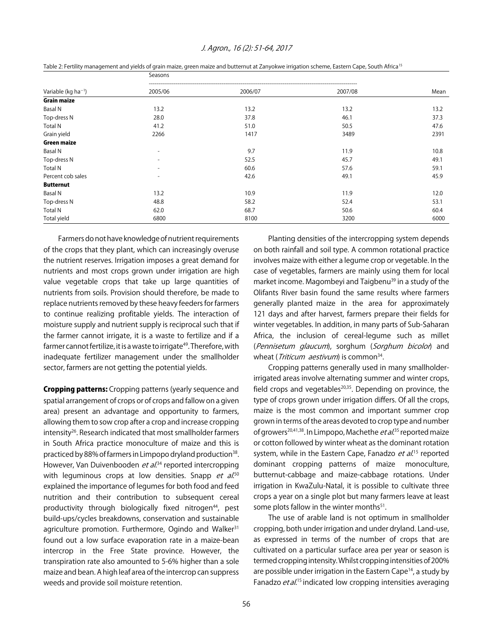|  | J. Agron., 16 (2): 51-64, 2017 |  |
|--|--------------------------------|--|
|--|--------------------------------|--|

| Variable ( $kg$ ha <sup>-1</sup> ) | Seasons                  |         |         |      |
|------------------------------------|--------------------------|---------|---------|------|
|                                    | 2005/06                  | 2006/07 | 2007/08 | Mean |
| <b>Grain maize</b>                 |                          |         |         |      |
| <b>Basal N</b>                     | 13.2                     | 13.2    | 13.2    | 13.2 |
| Top-dress N                        | 28.0                     | 37.8    | 46.1    | 37.3 |
| <b>Total N</b>                     | 41.2                     | 51.0    | 50.5    | 47.6 |
| Grain yield                        | 2266                     | 1417    | 3489    | 2391 |
| <b>Green maize</b>                 |                          |         |         |      |
| <b>Basal N</b>                     | $\overline{\phantom{a}}$ | 9.7     | 11.9    | 10.8 |
| Top-dress N                        | $\overline{a}$           | 52.5    | 45.7    | 49.1 |
| <b>Total N</b>                     | $\overline{\phantom{a}}$ | 60.6    | 57.6    | 59.1 |
| Percent cob sales                  | $\overline{\phantom{0}}$ | 42.6    | 49.1    | 45.9 |
| <b>Butternut</b>                   |                          |         |         |      |
| <b>Basal N</b>                     | 13.2                     | 10.9    | 11.9    | 12.0 |
| Top-dress N                        | 48.8                     | 58.2    | 52.4    | 53.1 |
| <b>Total N</b>                     | 62.0                     | 68.7    | 50.6    | 60.4 |
| Total yield                        | 6800                     | 8100    | 3200    | 6000 |

Farmers do not have knowledge of nutrient requirements of the crops that they plant, which can increasingly overuse the nutrient reserves. Irrigation imposes a great demand for nutrients and most crops grown under irrigation are high value vegetable crops that take up large quantities of nutrients from soils. Provision should therefore, be made to replace nutrients removed by these heavy feeders for farmers to continue realizing profitable yields. The interaction of moisture supply and nutrient supply is reciprocal such that if the farmer cannot irrigate, it is a waste to fertilize and if a farmer cannot fertilize, it is a waste to irrigate<sup>49</sup>. Therefore, with inadequate fertilizer management under the smallholder sector, farmers are not getting the potential yields.

**Cropping patterns:** Cropping patterns (yearly sequence and spatial arrangement of crops or of crops and fallow on a given area) present an advantage and opportunity to farmers, allowing them to sow crop after a crop and increase cropping intensity<sup>26</sup>. Research indicated that most smallholder farmers in South Africa practice monoculture of maize and this is practiced by 88% of farmers in Limpopo dryland production<sup>38</sup>. However, Van Duivenbooden *et al*.<sup>34</sup> reported intercropping with leguminous crops at low densities. Snapp *et al.*<sup>50</sup> explained the importance of legumes for both food and feed nutrition and their contribution to subsequent cereal productivity through biologically fixed nitrogen<sup>44</sup>, pest build-ups/cycles breakdowns, conservation and sustainable agriculture promotion. Furthermore, Ogindo and Walker<sup>31</sup> found out a low surface evaporation rate in a maize-bean intercrop in the Free State province. However, the transpiration rate also amounted to 5-6% higher than a sole maize and bean. A high leaf area of the intercrop can suppress weeds and provide soil moisture retention.

Planting densities of the intercropping system depends on both rainfall and soil type. A common rotational practice involves maize with either a legume crop or vegetable. In the case of vegetables, farmers are mainly using them for local market income. Magombeyi and Taigbenu<sup>39</sup> in a study of the Olifants River basin found the same results where farmers generally planted maize in the area for approximately 121 days and after harvest, farmers prepare their fields for winter vegetables. In addition, in many parts of Sub-Saharan Africa, the inclusion of cereal-legume such as millet (Pennisetum glaucum), sorghum (Sorghum bicolor) and wheat (*Triticum aestivum*) is common<sup>34</sup>.

Cropping patterns generally used in many smallholderirrigated areas involve alternating summer and winter crops, field crops and vegetables $20,35$ . Depending on province, the type of crops grown under irrigation differs. Of all the crops, maize is the most common and important summer crop grown in terms of the areas devoted to crop type and number of growers<sup>20,41,38</sup>. In Limpopo, Machethe *et al*.<sup>35</sup> reported maize or cotton followed by winter wheat as the dominant rotation system, while in the Eastern Cape, Fanadzo *et al.*<sup>15</sup> reported dominant cropping patterns of maize monoculture, butternut-cabbage and maize-cabbage rotations. Under irrigation in KwaZulu-Natal, it is possible to cultivate three crops a year on a single plot but many farmers leave at least some plots fallow in the winter months $51$ .

The use of arable land is not optimum in smallholder cropping, both under irrigation and under dryland. Land-use, as expressed in terms of the number of crops that are cultivated on a particular surface area per year or season is termed cropping intensity. Whilst cropping intensities of 200% are possible under irrigation in the Eastern Cape<sup>14</sup>, a study by Fanadzo et al.<sup>15</sup> indicated low cropping intensities averaging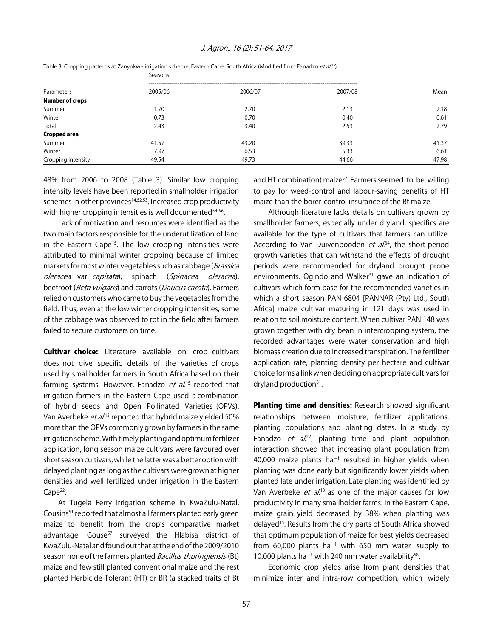#### J. Agron., 16 (2): 51-64, 2017

|                        | Seasons |         |         |       |  |
|------------------------|---------|---------|---------|-------|--|
| Parameters             | 2005/06 | 2006/07 | 2007/08 | Mean  |  |
| <b>Number of crops</b> |         |         |         |       |  |
| Summer                 | 1.70    | 2.70    | 2.13    | 2.18  |  |
| Winter                 | 0.73    | 0.70    | 0.40    | 0.61  |  |
| Total                  | 2.43    | 3.40    | 2.53    | 2.79  |  |
| Cropped area           |         |         |         |       |  |
| Summer                 | 41.57   | 43.20   | 39.33   | 41.37 |  |
| Winter                 | 7.97    | 6.53    | 5.33    | 6.61  |  |
| Cropping intensity     | 49.54   | 49.73   | 44.66   | 47.98 |  |

Table 3: Cropping patterns at Zanyokwe irrigation scheme, Eastern Cape, South Africa (Modified from Fanadzo et al.<sup>15</sup>)

48% from 2006 to 2008 (Table 3). Similar low cropping intensity levels have been reported in smallholder irrigation schemes in other provinces<sup>14,52,53</sup>. Increased crop productivity with higher cropping intensities is well documented<sup>54-56</sup>.

Lack of motivation and resources were identified as the two main factors responsible for the underutilization of land in the Eastern Cape<sup>15</sup>. The low cropping intensities were attributed to minimal winter cropping because of limited markets for most winter vegetables such as cabbage (Brassica oleracea var. capitata), spinach (Spinacea oleracea), beetroot (Beta vulgaris) and carrots (Daucus carota). Farmers relied on customers who came to buy the vegetables from the field. Thus, even at the low winter cropping intensities, some of the cabbage was observed to rot in the field after farmers failed to secure customers on time.

**Cultivar choice:** Literature available on crop cultivars does not give specific details of the varieties of crops used by smallholder farmers in South Africa based on their farming systems. However, Fanadzo *et al*.<sup>15</sup> reported that irrigation farmers in the Eastern Cape used a combination of hybrid seeds and Open Pollinated Varieties (OPVs). Van Averbeke *et al*.<sup>13</sup> reported that hybrid maize yielded 50% more than the OPVs commonly grown by farmers in the same irrigation scheme. With timely planting and optimum fertilizer application, long season maize cultivars were favoured over short season cultivars, while the latter was a better option with delayed planting as long as the cultivars were grown at higher densities and well fertilized under irrigation in the Eastern Cape<sup>22</sup>.

At Tugela Ferry irrigation scheme in KwaZulu-Natal, Cousins<sup>51</sup> reported that almost all farmers planted early green maize to benefit from the crop's comparative market advantage. Gouse $57$  surveyed the Hlabisa district of KwaZulu-Natal and found out that at the end of the 2009/2010 season none of the farmers planted *Bacillus thuringiensis* (Bt) maize and few still planted conventional maize and the rest planted Herbicide Tolerant (HT) or BR (a stacked traits of Bt and HT combination) maize<sup>57</sup>. Farmers seemed to be willing to pay for weed-control and labour-saving benefits of HT maize than the borer-control insurance of the Bt maize.

Although literature lacks details on cultivars grown by smallholder farmers, especially under dryland, specifics are available for the type of cultivars that farmers can utilize. According to Van Duivenbooden et al.<sup>34</sup>, the short-period growth varieties that can withstand the effects of drought periods were recommended for dryland drought prone environments. Ogindo and Walker<sup>31</sup> gave an indication of cultivars which form base for the recommended varieties in which a short season PAN 6804 [PANNAR (Pty) Ltd., South Africa] maize cultivar maturing in 121 days was used in relation to soil moisture content. When cultivar PAN 148 was grown together with dry bean in intercropping system, the recorded advantages were water conservation and high biomass creation due to increased transpiration. The fertilizer application rate, planting density per hectare and cultivar choice forms a link when deciding on appropriate cultivars for dryland production $31$ .

**Planting time and densities:** Research showed significant relationships between moisture, fertilizer applications, planting populations and planting dates. In a study by Fanadzo *et al.*<sup>22</sup>, planting time and plant population interaction showed that increasing plant population from 40,000 maize plants ha<sup>-1</sup> resulted in higher yields when planting was done early but significantly lower yields when planted late under irrigation. Late planting was identified by Van Averbeke *et al.*<sup>13</sup> as one of the major causes for low productivity in many smallholder farms. In the Eastern Cape, maize grain yield decreased by 38% when planting was delayed15. Results from the dry parts of South Africa showed that optimum population of maize for best yields decreased from 60,000 plants ha<sup>-1</sup> with 650 mm water supply to 10,000 plants ha<sup>-1</sup> with 240 mm water availability<sup>58</sup>.

Economic crop yields arise from plant densities that minimize inter and intra-row competition, which widely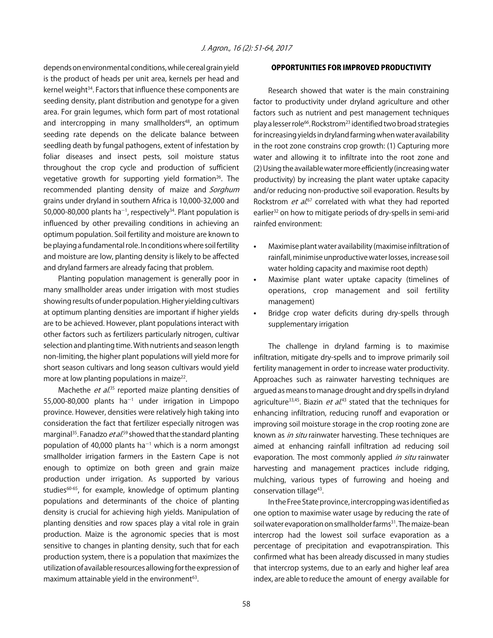depends on environmental conditions, while cereal grain yield is the product of heads per unit area, kernels per head and kernel weight<sup>34</sup>. Factors that influence these components are seeding density, plant distribution and genotype for a given area. For grain legumes, which form part of most rotational and intercropping in many smallholders<sup>48</sup>, an optimum seeding rate depends on the delicate balance between seedling death by fungal pathogens, extent of infestation by foliar diseases and insect pests, soil moisture status throughout the crop cycle and production of sufficient vegetative growth for supporting yield formation<sup>26</sup>. The recommended planting density of maize and Sorghum grains under dryland in southern Africa is 10,000-32,000 and 50,000-80,000 plants ha<sup>-1</sup>, respectively<sup>34</sup>. Plant population is influenced by other prevailing conditions in achieving an optimum population. Soil fertility and moisture are known to be playing a fundamental role. In conditions where soil fertility and moisture are low, planting density is likely to be affected and dryland farmers are already facing that problem.

Planting population management is generally poor in many smallholder areas under irrigation with most studies showing results of under population. Higher yielding cultivars at optimum planting densities are important if higher yields are to be achieved. However, plant populations interact with other factors such as fertilizers particularly nitrogen, cultivar selection and planting time. With nutrients and season length non-limiting, the higher plant populations will yield more for short season cultivars and long season cultivars would yield more at low planting populations in maize $^{22}$ .

Machethe *et al.*<sup>35</sup> reported maize planting densities of  $55,000-80,000$  plants ha<sup>-1</sup> under irrigation in Limpopo province. However, densities were relatively high taking into consideration the fact that fertilizer especially nitrogen was marginal<sup>35</sup>. Fanadzo *et al*.<sup>59</sup> showed that the standard planting population of 40,000 plants ha<sup>-1</sup> which is a norm amongst smallholder irrigation farmers in the Eastern Cape is not enough to optimize on both green and grain maize production under irrigation. As supported by various studies<sup>60-65</sup>, for example, knowledge of optimum planting populations and determinants of the choice of planting density is crucial for achieving high yields. Manipulation of planting densities and row spaces play a vital role in grain production. Maize is the agronomic species that is most sensitive to changes in planting density, such that for each production system, there is a population that maximizes the utilization of available resources allowing for the expression of maximum attainable yield in the environment $63$ .

#### OPPORTUNITIES FOR IMPROVED PRODUCTIVITY

Research showed that water is the main constraining factor to productivity under dryland agriculture and other factors such as nutrient and pest management techniques play a lesser role<sup>66</sup>. Rockstrom<sup>23</sup> identified two broad strategies for increasing yields in dryland farming when water availability in the root zone constrains crop growth: (1) Capturing more water and allowing it to infiltrate into the root zone and (2) Using the available water more efficiently (increasing water productivity) by increasing the plant water uptake capacity and/or reducing non-productive soil evaporation. Results by Rockstrom *et al.*<sup>67</sup> correlated with what they had reported earlier<sup>32</sup> on how to mitigate periods of dry-spells in semi-arid rainfed environment:

- Maximise plant water availability (maximise infiltration of rainfall, minimise unproductive water losses, increase soil water holding capacity and maximise root depth)
- Maximise plant water uptake capacity (timelines of operations, crop management and soil fertility management)
- Bridge crop water deficits during dry-spells through supplementary irrigation

The challenge in dryland farming is to maximise infiltration, mitigate dry-spells and to improve primarily soil fertility management in order to increase water productivity. Approaches such as rainwater harvesting techniques are argued as means to manage drought and dry spells in dryland agriculture<sup>33,45</sup>. Biazin *et al*.<sup>43</sup> stated that the techniques for enhancing infiltration, reducing runoff and evaporation or improving soil moisture storage in the crop rooting zone are known as *in situ* rainwater harvesting. These techniques are aimed at enhancing rainfall infiltration ad reducing soil evaporation. The most commonly applied *in situ* rainwater harvesting and management practices include ridging, mulching, various types of furrowing and hoeing and conservation tillage<sup>43</sup>.

In the Free State province, intercropping was identified as one option to maximise water usage by reducing the rate of soil water evaporation on smallholder farms<sup>31</sup>. The maize-bean intercrop had the lowest soil surface evaporation as a percentage of precipitation and evapotranspiration. This confirmed what has been already discussed in many studies that intercrop systems, due to an early and higher leaf area index, are able to reduce the amount of energy available for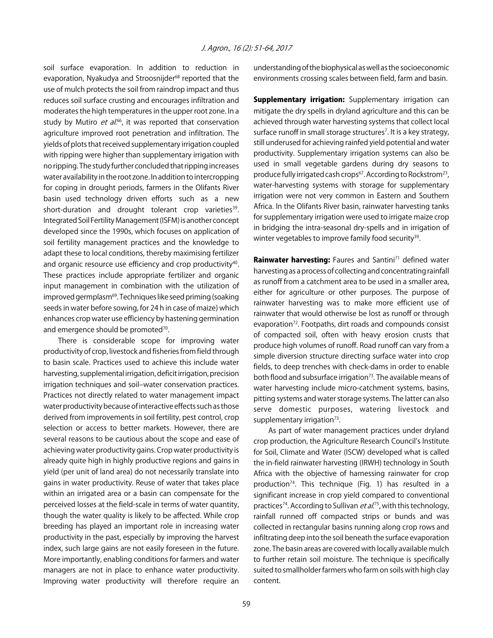soil surface evaporation. In addition to reduction in evaporation, Nyakudya and Stroosnijder<sup>68</sup> reported that the use of mulch protects the soil from raindrop impact and thus reduces soil surface crusting and encourages infiltration and moderates the high temperatures in the upper root zone. In a study by Mutiro et al.<sup>66</sup>, it was reported that conservation agriculture improved root penetration and infiltration. The yields of plots that received supplementary irrigation coupled with ripping were higher than supplementary irrigation with no ripping. The study further concluded that ripping increases water availability in the root zone. In addition to intercropping for coping in drought periods, farmers in the Olifants River basin used technology driven efforts such as a new short-duration and drought tolerant crop varieties<sup>39</sup>. Integrated Soil Fertility Management (ISFM) is another concept developed since the 1990s, which focuses on application of soil fertility management practices and the knowledge to adapt these to local conditions, thereby maximising fertilizer and organic resource use efficiency and crop productivity<sup>40</sup>. These practices include appropriate fertilizer and organic input management in combination with the utilization of improved germplasm<sup>69</sup>. Techniques like seed priming (soaking seeds in water before sowing, for 24 h in case of maize) which enhances crop water use efficiency by hastening germination and emergence should be promoted<sup>70</sup>.

There is considerable scope for improving water productivity of crop, livestock and fisheries from field through to basin scale. Practices used to achieve this include water harvesting, supplemental irrigation, deficit irrigation, precision irrigation techniques and soil-water conservation practices. Practices not directly related to water management impact water productivity because of interactive effects such as those derived from improvements in soil fertility, pest control, crop selection or access to better markets. However, there are several reasons to be cautious about the scope and ease of achieving water productivity gains. Crop water productivity is already quite high in highly productive regions and gains in yield (per unit of land area) do not necessarily translate into gains in water productivity. Reuse of water that takes place within an irrigated area or a basin can compensate for the perceived losses at the field-scale in terms of water quantity, though the water quality is likely to be affected. While crop breeding has played an important role in increasing water productivity in the past, especially by improving the harvest index, such large gains are not easily foreseen in the future. More importantly, enabling conditions for farmers and water managers are not in place to enhance water productivity. Improving water productivity will therefore require an

understanding of the biophysical as well as the socioeconomic environments crossing scales between field, farm and basin.

**Supplementary irrigation:** Supplementary irrigation can mitigate the dry spells in dryland agriculture and this can be achieved through water harvesting systems that collect local surface runoff in small storage structures<sup>7</sup>. It is a key strategy, still underused for achieving rainfed yield potential and water productivity. Supplementary irrigation systems can also be used in small vegetable gardens during dry seasons to produce fully irrigated cash crops<sup>67</sup>. According to Rockstrom<sup>23</sup>, water-harvesting systems with storage for supplementary irrigation were not very common in Eastern and Southern Africa. In the Olifants River basin, rainwater harvesting tanks for supplementary irrigation were used to irrigate maize crop in bridging the intra-seasonal dry-spells and in irrigation of winter vegetables to improve family food security<sup>39</sup>.

Rainwater harvesting: Faures and Santini<sup>71</sup> defined water harvesting as a process of collecting and concentrating rainfall as runoff from a catchment area to be used in a smaller area, either for agriculture or other purposes. The purpose of rainwater harvesting was to make more efficient use of rainwater that would otherwise be lost as runoff or through evaporation<sup>72</sup>. Footpaths, dirt roads and compounds consist of compacted soil, often with heavy erosion crusts that produce high volumes of runoff. Road runoff can vary from a simple diversion structure directing surface water into crop fields, to deep trenches with check-dams in order to enable both flood and subsurface irrigation<sup>73</sup>. The available means of water harvesting include micro-catchment systems, basins, pitting systems and water storage systems. The latter can also serve domestic purposes, watering livestock and supplementary irrigation $73$ .

As part of water management practices under dryland crop production, the Agriculture Research Council's Institute for Soil, Climate and Water (ISCW) developed what is called the in-field rainwater harvesting (IRWH) technology in South Africa with the objective of harnessing rainwater for crop production<sup>74</sup>. This technique (Fig. 1) has resulted in a significant increase in crop yield compared to conventional practices<sup>74</sup>. According to Sullivan *et al*.<sup>75</sup>, with this technology, rainfall runned off compacted strips or bunds and was collected in rectangular basins running along crop rows and infiltrating deep into the soil beneath the surface evaporation zone. The basin areas are covered with locally available mulch to further retain soil moisture. The technique is specifically suited to smallholder farmers who farm on soils with high clay content.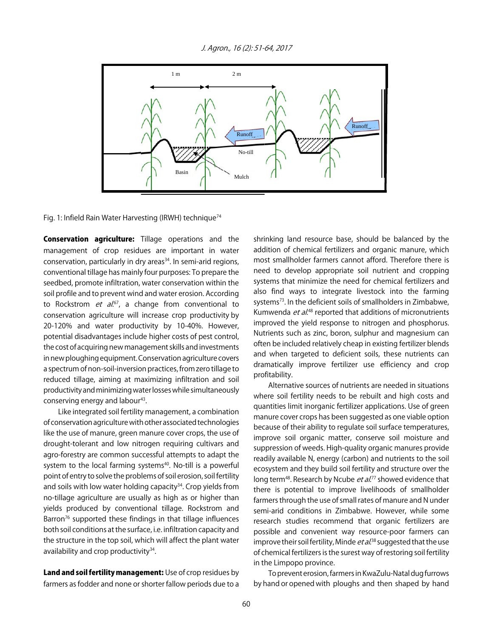J. Agron., 16 (2): 51-64, 2017



Fig. 1: Infield Rain Water Harvesting (IRWH) technique<sup>74</sup>

Conservation agriculture: Tillage operations and the management of crop residues are important in water conservation, particularly in dry areas<sup>34</sup>. In semi-arid regions, conventional tillage has mainly four purposes: To prepare the seedbed, promote infiltration, water conservation within the soil profile and to prevent wind and water erosion. According to Rockstrom *et al.*<sup>67</sup>, a change from conventional to conservation agriculture will increase crop productivity by 20-120% and water productivity by 10-40%. However, potential disadvantages include higher costs of pest control, the cost of acquiring new management skills and investments in new ploughing equipment. Conservation agriculture covers a spectrum of non-soil-inversion practices, from zero tillage to reduced tillage, aiming at maximizing infiltration and soil productivity and minimizing water losses while simultaneously conserving energy and labour<sup>43</sup>.

Like integrated soil fertility management, a combination of conservation agriculture with other associated technologies like the use of manure, green manure cover crops, the use of drought-tolerant and low nitrogen requiring cultivars and agro-forestry are common successful attempts to adapt the system to the local farming systems<sup>40</sup>. No-till is a powerful point of entry to solve the problems of soil erosion, soil fertility and soils with low water holding capacity<sup>34</sup>. Crop yields from no-tillage agriculture are usually as high as or higher than yields produced by conventional tillage. Rockstrom and Barron $76$  supported these findings in that tillage influences both soil conditions at the surface, i.e. infiltration capacity and the structure in the top soil, which will affect the plant water availability and crop productivity<sup>34</sup>.

Land and soil fertility management: Use of crop residues by farmers as fodder and none or shorter fallow periods due to a

shrinking land resource base, should be balanced by the addition of chemical fertilizers and organic manure, which most smallholder farmers cannot afford. Therefore there is need to develop appropriate soil nutrient and cropping systems that minimize the need for chemical fertilizers and also find ways to integrate livestock into the farming systems<sup>73</sup>. In the deficient soils of smallholders in Zimbabwe, Kumwenda *et al*.<sup>48</sup> reported that additions of micronutrients improved the yield response to nitrogen and phosphorus. Nutrients such as zinc, boron, sulphur and magnesium can often be included relatively cheap in existing fertilizer blends and when targeted to deficient soils, these nutrients can dramatically improve fertilizer use efficiency and crop profitability.

Alternative sources of nutrients are needed in situations where soil fertility needs to be rebuilt and high costs and quantities limit inorganic fertilizer applications. Use of green manure cover crops has been suggested as one viable option because of their ability to regulate soil surface temperatures, improve soil organic matter, conserve soil moisture and suppression of weeds. High-quality organic manures provide readily available N, energy (carbon) and nutrients to the soil ecosystem and they build soil fertility and structure over the long term<sup>48</sup>. Research by Ncube *et al.*<sup>77</sup> showed evidence that there is potential to improve livelihoods of smallholder farmers through the use of small rates of manure and N under semi-arid conditions in Zimbabwe. However, while some research studies recommend that organic fertilizers are possible and convenient way resource-poor farmers can improve their soil fertility, Minde *et al*.<sup>38</sup> suggested that the use of chemical fertilizers is the surest way of restoring soil fertility in the Limpopo province.

To prevent erosion, farmers in KwaZulu-Natal dug furrows by hand or opened with ploughs and then shaped by hand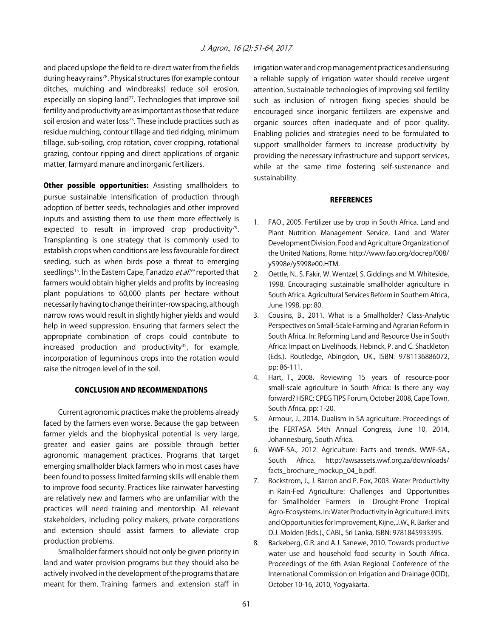and placed upslope the field to re-direct water from the fields during heavy rains78. Physical structures (for example contour ditches, mulching and windbreaks) reduce soil erosion, especially on sloping land<sup>77</sup>. Technologies that improve soil fertility and productivity are as important as those that reduce soil erosion and water loss<sup>73</sup>. These include practices such as residue mulching, contour tillage and tied ridging, minimum tillage, sub-soiling, crop rotation, cover cropping, rotational grazing, contour ripping and direct applications of organic matter, farmyard manure and inorganic fertilizers.

Other possible opportunities: Assisting smallholders to pursue sustainable intensification of production through adoption of better seeds, technologies and other improved inputs and assisting them to use them more effectively is expected to result in improved crop productivity<sup>79</sup>. Transplanting is one strategy that is commonly used to establish crops when conditions are less favourable for direct seeding, such as when birds pose a threat to emerging seedlings<sup>15</sup>. In the Eastern Cape, Fanadzo *et al*.<sup>59</sup> reported that farmers would obtain higher yields and profits by increasing plant populations to 60,000 plants per hectare without necessarily having to change their inter-row spacing, although narrow rows would result in slightly higher yields and would help in weed suppression. Ensuring that farmers select the appropriate combination of crops could contribute to increased production and productivity<sup>35</sup>, for example, incorporation of leguminous crops into the rotation would raise the nitrogen level of in the soil.

#### CONCLUSION AND RECOMMENDATIONS

Current agronomic practices make the problems already faced by the farmers even worse. Because the gap between farmer yields and the biophysical potential is very large, greater and easier gains are possible through better agronomic management practices. Programs that target emerging smallholder black farmers who in most cases have been found to possess limited farming skills will enable them to improve food security. Practices like rainwater harvesting are relatively new and farmers who are unfamiliar with the practices will need training and mentorship. All relevant stakeholders, including policy makers, private corporations and extension should assist farmers to alleviate crop production problems.

Smallholder farmers should not only be given priority in land and water provision programs but they should also be actively involved in the development of the programs that are meant for them. Training farmers and extension staff in irrigation water and crop management practices and ensuring a reliable supply of irrigation water should receive urgent attention. Sustainable technologies of improving soil fertility such as inclusion of nitrogen fixing species should be encouraged since inorganic fertilizers are expensive and organic sources often inadequate and of poor quality. Enabling policies and strategies need to be formulated to support smallholder farmers to increase productivity by providing the necessary infrastructure and support services, while at the same time fostering self-sustenance and sustainability.

#### **REFERENCES**

- 1. FAO., 2005. Fertilizer use by crop in South Africa. Land and Plant Nutrition Management Service, Land and Water Development Division, Food and Agriculture Organization of the United Nations, Rome. http://www.fao.org/docrep/008/ y5998e/y5998e00.HTM.
- 2. Oettle, N., S. Fakir, W. Wentzel, S. Giddings and M. Whiteside, 1998. Encouraging sustainable smallholder agriculture in South Africa. Agricultural Services Reform in Southern Africa, June 1998, pp: 80.
- 3. Cousins, B., 2011. What is a Smallholder? Class-Analytic Perspectives on Small-Scale Farming and Agrarian Reform in South Africa. In: Reforming Land and Resource Use in South Africa: Impact on Livelihoods, Hebinck, P. and C. Shackleton (Eds.). Routledge, Abingdon, UK., ISBN: 9781136886072, pp: 86-111.
- 4. Hart, T., 2008. Reviewing 15 years of resource-poor small-scale agriculture in South Africa: Is there any way forward? HSRC: CPEG TIPS Forum, October 2008, Cape Town, South Africa, pp: 1-20.
- 5. Armour, J., 2014. Dualism in SA agriculture. Proceedings of the FERTASA 54th Annual Congress, June 10, 2014, Johannesburg, South Africa.
- 6. WWF-SA., 2012. Agriculture: Facts and trends. WWF-SA., South Africa. http://awsassets.wwf.org.za/downloads/ facts\_brochure\_mockup\_04\_b.pdf.
- 7. Rockstrom, J., J. Barron and P. Fox, 2003. Water Productivity in Rain-Fed Agriculture: Challenges and Opportunities for Smallholder Farmers in Drought-Prone Tropical Agro-Ecosystems. In: Water Productivity in Agriculture: Limits and Opportunities for Improvement, Kijne, J.W., R. Barker and D.J. Molden (Eds.)., CABI., Sri Lanka, ISBN: 9781845933395.
- 8. Backeberg, G.R. and A.J. Sanewe, 2010. Towards productive water use and household food security in South Africa. Proceedings of the 6th Asian Regional Conference of the International Commission on Irrigation and Drainage (ICID), October 10-16, 2010, Yogyakarta.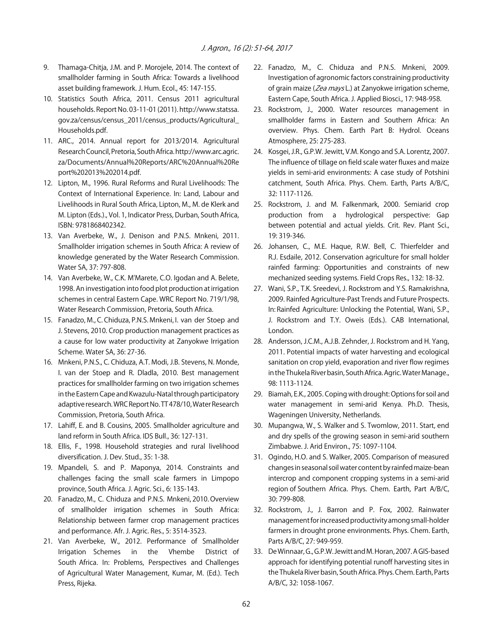- 9. Thamaga-Chitja, J.M. and P. Morojele, 2014. The context of smallholder farming in South Africa: Towards a livelihood asset building framework. J. Hum. Ecol., 45: 147-155.
- 10. Statistics South Africa, 2011. Census 2011 agricultural households. Report No. 03-11-01 (2011). http://www.statssa. gov.za/census/census\_2011/census\_products/Agricultural\_ Households.pdf.
- 11. ARC., 2014. Annual report for 2013/2014. Agricultural Research Council, Pretoria, South Africa. http://www.arc.agric. za/Documents/Annual%20Reports/ARC%20Annual%20Re port%202013%202014.pdf.
- 12. Lipton, M., 1996. Rural Reforms and Rural Livelihoods: The Context of International Experience. In: Land, Labour and Livelihoods in Rural South Africa, Lipton, M., M. de Klerk and M. Lipton (Eds.)., Vol. 1, Indicator Press, Durban, South Africa, ISBN: 9781868402342.
- 13. Van Averbeke, W., J. Denison and P.N.S. Mnkeni, 2011. Smallholder irrigation schemes in South Africa: A review of knowledge generated by the Water Research Commission. Water SA, 37: 797-808.
- 14. Van Averbeke, W., C.K. M'Marete, C.O. Igodan and A. Belete, 1998. An investigation into food plot production at irrigation schemes in central Eastern Cape. WRC Report No. 719/1/98, Water Research Commission, Pretoria, South Africa.
- 15. Fanadzo, M., C. Chiduza, P.N.S. Mnkeni, I. van der Stoep and J. Stevens, 2010. Crop production management practices as a cause for low water productivity at Zanyokwe Irrigation Scheme. Water SA, 36: 27-36.
- 16. Mnkeni, P.N.S., C. Chiduza, A.T. Modi, J.B. Stevens, N. Monde, I. van der Stoep and R. Dladla, 2010. Best management practices for smallholder farming on two irrigation schemes in the Eastern Cape and Kwazulu-Natal through participatory adaptive research. WRC Report No. TT 478/10, Water Research Commission, Pretoria, South Africa.
- 17. Lahiff, E. and B. Cousins, 2005. Smallholder agriculture and land reform in South Africa. IDS Bull., 36: 127-131.
- 18. Ellis, F., 1998. Household strategies and rural livelihood diversification. J. Dev. Stud., 35: 1-38.
- 19. Mpandeli, S. and P. Maponya, 2014. Constraints and challenges facing the small scale farmers in Limpopo province, South Africa. J. Agric. Sci., 6: 135-143.
- 20. Fanadzo, M., C. Chiduza and P.N.S. Mnkeni, 2010. Overview of smallholder irrigation schemes in South Africa: Relationship between farmer crop management practices and performance. Afr. J. Agric. Res., 5: 3514-3523.
- 21. Van Averbeke, W., 2012. Performance of Smallholder Irrigation Schemes in the Vhembe District of South Africa. In: Problems, Perspectives and Challenges of Agricultural Water Management, Kumar, M. (Ed.). Tech Press, Rijeka.
- 22. Fanadzo, M., C. Chiduza and P.N.S. Mnkeni, 2009. Investigation of agronomic factors constraining productivity of grain maize (Zea mays L.) at Zanyokwe irrigation scheme, Eastern Cape, South Africa. J. Applied Biosci., 17: 948-958.
- 23. Rockstrom, J., 2000. Water resources management in smallholder farms in Eastern and Southern Africa: An overview. Phys. Chem. Earth Part B: Hydrol. Oceans Atmosphere, 25: 275-283.
- 24. Kosgei, J.R., G.P.W. Jewitt, V.M. Kongo and S.A. Lorentz, 2007. The influence of tillage on field scale water fluxes and maize yields in semi-arid environments: A case study of Potshini catchment, South Africa. Phys. Chem. Earth, Parts A/B/C, 32: 1117-1126.
- 25. Rockstrom, J. and M. Falkenmark, 2000. Semiarid crop production from a hydrological perspective: Gap between potential and actual yields. Crit. Rev. Plant Sci., 19: 319-346.
- 26. Johansen, C., M.E. Haque, R.W. Bell, C. Thierfelder and R.J. Esdaile, 2012. Conservation agriculture for small holder rainfed farming: Opportunities and constraints of new mechanized seeding systems. Field Crops Res., 132: 18-32.
- 27. Wani, S.P., T.K. Sreedevi, J. Rockstrom and Y.S. Ramakrishna, 2009. Rainfed Agriculture-Past Trends and Future Prospects. In: Rainfed Agriculture: Unlocking the Potential, Wani, S.P., J. Rockstrom and T.Y. Oweis (Eds.). CAB International, London.
- 28. Andersson, J.C.M., A.J.B. Zehnder, J. Rockstrom and H. Yang, 2011. Potential impacts of water harvesting and ecological sanitation on crop yield, evaporation and river flow regimes in the Thukela River basin, South Africa. Agric. Water Manage., 98: 1113-1124.
- 29. Biamah, E.K., 2005. Coping with drought: Options for soil and water management in semi-arid Kenya. Ph.D. Thesis, Wageningen University, Netherlands.
- 30. Mupangwa, W., S. Walker and S. Twomlow, 2011. Start, end and dry spells of the growing season in semi-arid southern Zimbabwe. J. Arid Environ., 75: 1097-1104.
- 31. Ogindo, H.O. and S. Walker, 2005. Comparison of measured changes in seasonal soil water content by rainfed maize-bean intercrop and component cropping systems in a semi-arid region of Southern Africa. Phys. Chem. Earth, Part A/B/C, 30: 799-808.
- 32. Rockstrom, J., J. Barron and P. Fox, 2002. Rainwater management for increased productivity among small-holder farmers in drought prone environments. Phys. Chem. Earth, Parts A/B/C, 27: 949-959.
- 33. De Winnaar, G., G.P.W. Jewitt and M. Horan, 2007. A GIS-based approach for identifying potential runoff harvesting sites in the Thukela River basin, South Africa. Phys. Chem. Earth, Parts A/B/C, 32: 1058-1067.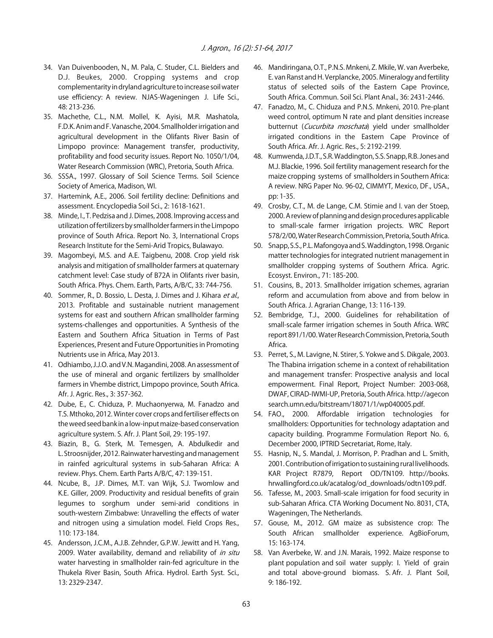- 34. Van Duivenbooden, N., M. Pala, C. Studer, C.L. Bielders and D.J. Beukes, 2000. Cropping systems and crop complementarity in dryland agriculture to increase soil water use efficiency: A review. NJAS-Wageningen J. Life Sci., 48: 213-236.
- 35. Machethe, C.L., N.M. Mollel, K. Ayisi, M.R. Mashatola, F.D.K. Anim and F. Vanasche, 2004. Smallholder irrigation and agricultural development in the Olifants River Basin of Limpopo province: Management transfer, productivity, profitability and food security issues. Report No. 1050/1/04, Water Research Commission (WRC), Pretoria, South Africa.
- 36. SSSA., 1997. Glossary of Soil Science Terms. Soil Science Society of America, Madison, WI.
- 37. Hartemink, A.E., 2006. Soil fertility decline: Definitions and assessment. Encyclopedia Soil Sci., 2: 1618-1621.
- 38. Minde, I., T. Pedzisa and J. Dimes, 2008. Improving access and utilization of fertilizers by smallholder farmers in the Limpopo province of South Africa. Report No. 3, International Crops Research Institute for the Semi-Arid Tropics, Bulawayo.
- 39. Magombeyi, M.S. and A.E. Taigbenu, 2008. Crop yield risk analysis and mitigation of smallholder farmers at quaternary catchment level: Case study of B72A in Olifants river basin, South Africa. Phys. Chem. Earth, Parts, A/B/C, 33: 744-756.
- 40. Sommer, R., D. Bossio, L. Desta, J. Dimes and J. Kihara et al., 2013. Profitable and sustainable nutrient management systems for east and southern African smallholder farming systems-challenges and opportunities. A Synthesis of the Eastern and Southern Africa Situation in Terms of Past Experiences, Present and Future Opportunities in Promoting Nutrients use in Africa, May 2013.
- 41. Odhiambo, J.J.O. and V.N. Magandini, 2008. An assessment of the use of mineral and organic fertilizers by smallholder farmers in Vhembe district, Limpopo province, South Africa. Afr. J. Agric. Res., 3: 357-362.
- 42. Dube, E., C. Chiduza, P. Muchaonyerwa, M. Fanadzo and T.S. Mthoko, 2012. Winter cover crops and fertiliser effects on the weed seed bank in a low-input maize-based conservation agriculture system. S. Afr. J. Plant Soil, 29: 195-197.
- 43. Biazin, B., G. Sterk, M. Temesgen, A. Abdulkedir and L. Stroosnijder, 2012. Rainwater harvesting and management in rainfed agricultural systems in sub-Saharan Africa: A review. Phys. Chem. Earth Parts A/B/C, 47: 139-151.
- 44. Ncube, B., J.P. Dimes, M.T. van Wijk, S.J. Twomlow and K.E. Giller, 2009. Productivity and residual benefits of grain legumes to sorghum under semi-arid conditions in south-western Zimbabwe: Unravelling the effects of water and nitrogen using a simulation model. Field Crops Res., 110: 173-184.
- 45. Andersson, J.C.M., A.J.B. Zehnder, G.P.W. Jewitt and H. Yang, 2009. Water availability, demand and reliability of in situ water harvesting in smallholder rain-fed agriculture in the Thukela River Basin, South Africa. Hydrol. Earth Syst. Sci., 13: 2329-2347.
- 46. Mandiringana, O.T., P.N.S. Mnkeni, Z. Mkile, W. van Averbeke, E. van Ranst and H. Verplancke, 2005. Mineralogy and fertility status of selected soils of the Eastern Cape Province, South Africa. Commun. Soil Sci. Plant Anal., 36: 2431-2446.
- 47. Fanadzo, M., C. Chiduza and P.N.S. Mnkeni, 2010. Pre-plant weed control, optimum N rate and plant densities increase butternut (Cucurbita moschata) yield under smallholder irrigated conditions in the Eastern Cape Province of South Africa. Afr. J. Agric. Res., 5: 2192-2199.
- 48. Kumwenda, J.D.T., S.R. Waddington, S.S. Snapp, R.B. Jones and M.J. Blackie, 1996. Soil fertility management research for the maize cropping systems of smallholders in Southern Africa: A review. NRG Paper No. 96-02, CIMMYT, Mexico, DF., USA., pp: 1-35.
- 49. Crosby, C.T., M. de Lange, C.M. Stimie and I. van der Stoep, 2000. A review of planning and design procedures applicable to small-scale farmer irrigation projects. WRC Report 578/2/00, Water Research Commission, Pretoria, South Africa.
- 50. Snapp, S.S., P.L. Mafongoya and S. Waddington, 1998. Organic matter technologies for integrated nutrient management in smallholder cropping systems of Southern Africa. Agric. Ecosyst. Environ., 71: 185-200.
- 51. Cousins, B., 2013. Smallholder irrigation schemes, agrarian reform and accumulation from above and from below in South Africa. J. Agrarian Change, 13: 116-139.
- 52. Bembridge, T.J., 2000. Guidelines for rehabilitation of small-scale farmer irrigation schemes in South Africa. WRC report 891/1/00. Water Research Commission, Pretoria, South Africa.
- 53. Perret, S., M. Lavigne, N. Stirer, S. Yokwe and S. Dikgale, 2003. The Thabina irrigation scheme in a context of rehabilitation and management transfer: Prospective analysis and local empowerment. Final Report, Project Number: 2003-068, DWAF, CIRAD-IWMI-UP, Pretoria, South Africa. http://agecon search.umn.edu/bitstream/18071/1/wp040005.pdf.
- 54. FAO., 2000. Affordable irrigation technologies for smallholders: Opportunities for technology adaptation and capacity building. Programme Formulation Report No. 6, December 2000, IPTRID Secretariat, Rome, Italy.
- 55. Hasnip, N., S. Mandal, J. Morrison, P. Pradhan and L. Smith, 2001. Contribution of irrigation to sustaining rural livelihoods. KAR Project R7879, Report OD/TN109. http://books. hrwallingford.co.uk/acatalog/od\_downloads/odtn109.pdf.
- 56. Tafesse, M., 2003. Small-scale irrigation for food security in sub-Saharan Africa. CTA Working Document No. 8031, CTA, Wageningen, The Netherlands.
- 57. Gouse, M., 2012. GM maize as subsistence crop: The South African smallholder experience. AgBioForum, 15: 163-174.
- 58. Van Averbeke, W. and J.N. Marais, 1992. Maize response to plant population and soil water supply: I. Yield of grain and total above-ground biomass. S. Afr. J. Plant Soil, 9: 186-192.